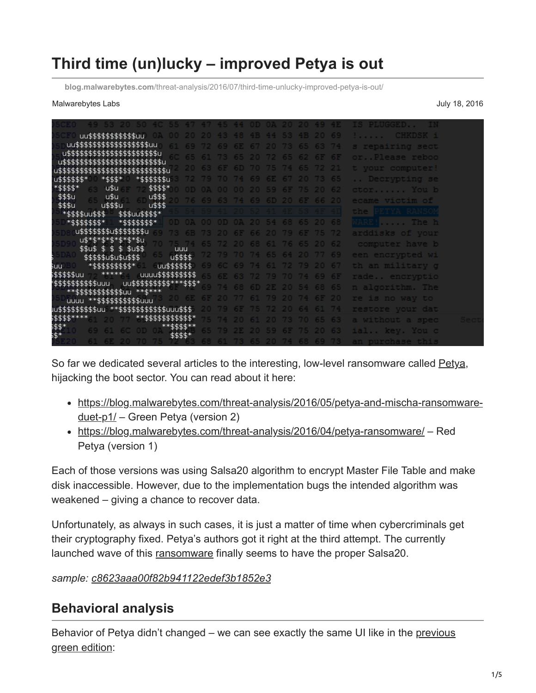# **Third time (un)lucky – improved Petya is out**

**blog.malwarebytes.com**[/threat-analysis/2016/07/third-time-unlucky-improved-petya-is-out/](https://blog.malwarebytes.com/threat-analysis/2016/07/third-time-unlucky-improved-petya-is-out/)

#### Malwarebytes Labs July 18, 2016

| CHKDSK <sub>1</sub><br>uu\$\$\$\$\$\$\$\$\$\$\$uu                                                                              |  |
|--------------------------------------------------------------------------------------------------------------------------------|--|
| uu\$\$\$\$\$\$\$\$\$\$\$\$\$\$\$\$\$uu<br>s repairing sect                                                                     |  |
| u\$\$\$\$\$\$\$\$\$\$\$\$\$\$\$\$\$\$\$\$\$\$u<br>orPlease reboo<br>20 72<br>- 6 F                                             |  |
| u\$\$\$\$\$\$\$\$\$\$\$\$\$\$\$\$\$\$\$\$\$\$\$\$\$u<br>t vour computer!<br>\$\$\$\$\$\$\$\$\$\$\$\$\$\$\$\$\$\$\$\$\$\$\$u    |  |
| *\$\$\$*<br>*\$\$\$\$\$\$u<br>69 6E 67<br>20 73 65<br>Decrypting se<br>u\$\$\$\$\$\$*                                          |  |
| *\$\$\$\$*<br>\$\$\$\$*<br>u\$u<br>ctor You b                                                                                  |  |
| \$\$\$u<br>u\$u<br>u\$\$\$<br>76 69 63 74 69 6D 20 6F 66 20<br>ecame victim of                                                 |  |
| \$\$\$u<br>u\$\$\$u<br>u\$\$\$<br>the PETYA RANSO<br>\$\$\$uu\$\$\$\$*<br>*\$\$\$\$uu\$\$\$                                    |  |
| 0A 00 0D 0A 20 54 68<br>WARE! The h<br>*\$\$\$\$\$\$\$*<br>*\$\$\$\$\$\$\$*                                                    |  |
| u\$\$\$\$\$\$\$u\$\$\$\$\$\$\$u<br>arddisks of your<br>6F 66 20 79<br>6F 75 72                                                 |  |
| u\$*\$*\$*\$*\$*\$*\$*\$u<br>65 20 62<br>computer have b                                                                       |  |
| \$\$u\$<br><b>\$</b> \$u\$\$<br>\$<br>-SS<br>uuu<br>een encrypted wi<br>u\$\$\$\$                                              |  |
| \$\$\$\$\$u\$u\$u\$\$\$<br>74 61 72<br>th an military q<br>uu\$\$\$\$\$\$<br>*\$\$\$\$\$\$\$\$\$*<br>suul                      |  |
| s\$\$\$\$\$uu<br>uuuu\$\$\$\$\$\$\$\$\$<br>rade encrvotio                                                                      |  |
| uu\$\$\$\$\$\$\$\$\$***\$\$\$*<br>'\$\$\$\$\$\$\$\$\$\$uuu<br>2E 20<br>n algorithm. The                                        |  |
| жж⊈жжж<br>**\$\$\$\$\$\$\$\$\$\$\$uu<br>re is no way to                                                                        |  |
| **\$\$\$\$\$\$\$\$\$\$uuu<br><b>CILILIU</b><br>JU\$\$\$\$\$\$\$\$\$uu<br>**\$\$\$\$\$\$\$\$\$\$\$uuu\$\$\$<br>restore vour dat |  |
| \$\$\$\$****<br>**\$\$\$\$\$\$\$\$\$\$\$*<br>a without a spec                                                                  |  |
| s\$\$*<br>s\$*<br>**\$\$\$\$**<br>ial kev. You c                                                                               |  |
| 68 61 73 65 20 74 68 69<br>an purchase this                                                                                    |  |

So far we dedicated several articles to the interesting, low-level ransomware called [Petya,](https://blog.malwarebytes.com/?s=Petya) hijacking the boot sector. You can read about it here:

- [https://blog.malwarebytes.com/threat-analysis/2016/05/petya-and-mischa-ransomware](https://blog.malwarebytes.com/threat-analysis/2016/05/petya-and-mischa-ransomware-duet-p1/)duet-p1/ – Green Petya (version 2)
- <https://blog.malwarebytes.com/threat-analysis/2016/04/petya-ransomware/> Red Petya (version 1)

Each of those versions was using Salsa20 algorithm to encrypt Master File Table and make disk inaccessible. However, due to the implementation bugs the intended algorithm was weakened – giving a chance to recover data.

Unfortunately, as always in such cases, it is just a matter of time when cybercriminals get their cryptography fixed. Petya's authors got it right at the third attempt. The currently launched wave of this [ransomware](https://www.malwarebytes.com/ransomware) finally seems to have the proper Salsa20.

### *sample: [c8623aaa00f82b941122edef3b1852e3](https://www.virustotal.com/en/file/ecc5cc62c8200954079191e586123522f88aa1414ae98908380176d75d2e7eab/analysis/)*

### **Behavioral analysis**

[Behavior of Petya didn't changed – we can see exactly the same UI like in the previous](https://blog.malwarebytes.com/threat-analysis/2016/05/petya-and-mischa-ransomware-duet-p1/) green edition: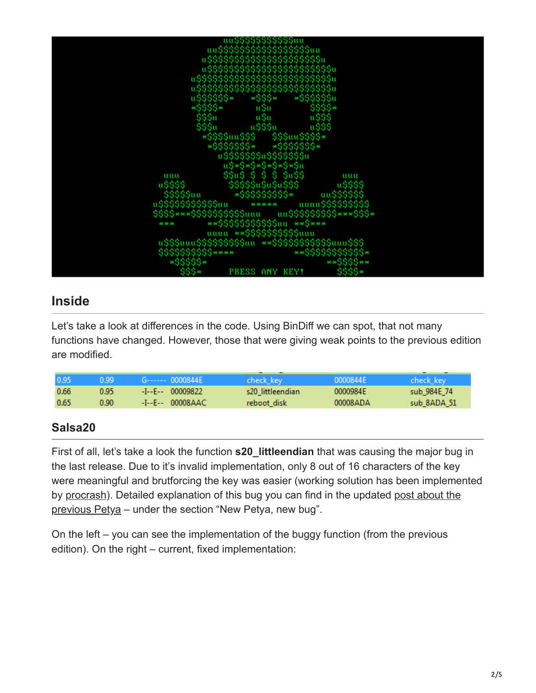

## **Inside**

Let's take a look at differences in the code. Using BinDiff we can spot, that not many functions have changed. However, those that were giving weak points to the previous edition are modified.

| 0.95 | 0.991          | $G$ ------ 0000844E  | icheck kev       | 10000844E | -<br>$\overline{\phantom{a}}$<br>check kev |
|------|----------------|----------------------|------------------|-----------|--------------------------------------------|
| 0.66 | 0.95           | $-I - E - 000098227$ | s20 littleendian | 0000984E  | sub 984E 74                                |
| 0.65 | $0.90^{\circ}$ | $-I - E - 00008AAC$  | reboot disk      | 00008ADA  | sub 8ADA 51                                |

### **Salsa20**

First of all, let's take a look the function **s20\_littleendian** that was causing the major bug in the last release. Due to it's invalid implementation, only 8 out of 16 characters of the key were meaningful and brutforcing the key was easier (working solution has been implemented [by procrash\). Detailed explanation of this bug you can find in the updated post about the](https://blog.malwarebytes.com/threat-analysis/2016/05/petya-and-mischa-ransomware-duet-p1/) previous Petya – under the section "New Petya, new bug".

On the left – you can see the implementation of the buggy function (from the previous edition). On the right – current, fixed implementation: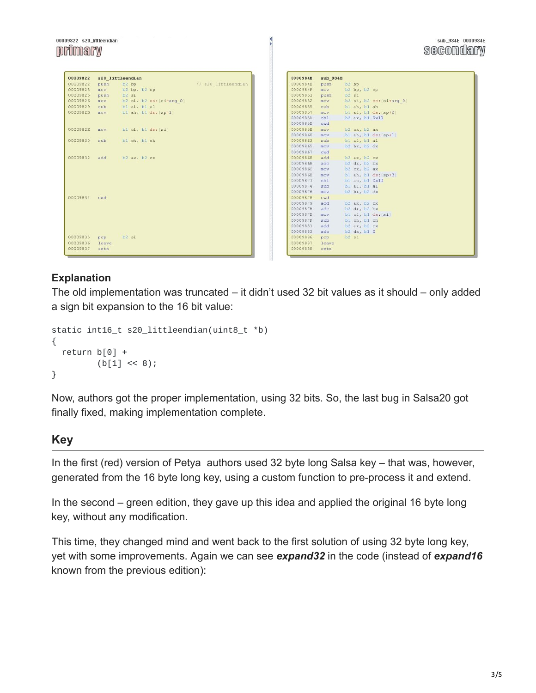|  | sub 984E 0000984E |
|--|-------------------|
|  | secondary         |

#### 00009822  ${\tt s20\_littleendian}$ 00009822 push // s20 littleendian bp  $b2$  bp,  $b2$  sp 00009823  $m$ ov 00009825 push  $b2$  si 00009825 push<br>00009829 sub<br>00009829 sub b2 si, b2 ss:  $\left[\text{sitarg}_0\right]$ bl al, bl al bl ah, bl ds: [sp+1] 0000982E mov bl cl, bl ds: [si] 00009830 sub bl ch, bl ch 00009832 add  $b2$  ax,  $b2$  cx 00009834 cwd 00009835 pop<br>00009836 leave<br>00009837 retn b<sub>2</sub> si

| 0000984E        | sub 984E   |                   |                         |  |
|-----------------|------------|-------------------|-------------------------|--|
| 0000984E        | push b2 bp |                   |                         |  |
| 0000984F        | mov        | b2 bp, b2 sp      |                         |  |
| 00009851        | push       | b2 si             |                         |  |
| 00009852        | mov        |                   | b2 si, b2 ss: si+arg 0] |  |
| 00009855        | sub.       | bl ah, bl ah      |                         |  |
| 00009857        | mov        |                   | bl al, bl ds: sp+2)     |  |
| 0000985A        | sh1        |                   | b2 ax, b1 0x10          |  |
| 0000985D        | cwd        |                   |                         |  |
| 0000985E        | mov        | b2 cx, b2 ax      |                         |  |
| 00009860        | mov        |                   | bl ah, bl ds: [sp+1]    |  |
| 00009863        | sub        | bl al, bl al      |                         |  |
| 00009865        | mov        | b2 bx, b2 dx      |                         |  |
| 00009867        | cwd        |                   |                         |  |
| 00009868        | add        | b2ax, b2cx        |                         |  |
| 0000986A        | adc.       | $b2 dx$ , $b2 bx$ |                         |  |
| 0000986C        | mov        | b2 cx, b2 ax      |                         |  |
| 0000986E        | mov        |                   | bl ah, bl ds: [sp+3]    |  |
| 00009871        | shl        |                   | bl ah, bl 0x10          |  |
| 00009874        | sub        | bl al, bl al      |                         |  |
| 00009876        | mov        | b2 bx, b2 dx      |                         |  |
| 00009878        | cwd        |                   |                         |  |
| 00009879        | bba        | b2 ax, b2 cx      |                         |  |
| 0000987B        | adc        | $b2 dx$ , $b2 bx$ |                         |  |
| 0000987D        | mov:       |                   | bl cl, bl ds: si        |  |
| <b>DDDD987F</b> | sub        | bl ch, bl ch      |                         |  |
| 00009881        | bbs        | b2 ax, b2 cx      |                         |  |
| 00009883        | adc        | b2 dx, b1 0       |                         |  |
| 00009886        | pop        | b2 si             |                         |  |
| 00009887        | leave.     |                   |                         |  |
| 00009888        | retn       |                   |                         |  |

### **Explanation**

00009822 s20\_littleendian primary

The old implementation was truncated – it didn't used 32 bit values as it should – only added a sign bit expansion to the 16 bit value:

```
static int16_t s20_littleendian(uint8_t *b)
{
  return b[0] +
         (b[1] \leq 8);}
```
Now, authors got the proper implementation, using 32 bits. So, the last bug in Salsa20 got finally fixed, making implementation complete.

### **Key**

In the first (red) version of Petya authors used 32 byte long Salsa key – that was, however, generated from the 16 byte long key, using a custom function to pre-process it and extend.

In the second – green edition, they gave up this idea and applied the original 16 byte long key, without any modification.

This time, they changed mind and went back to the first solution of using 32 byte long key, yet with some improvements. Again we can see *expand32* in the code (instead of *expand16* known from the previous edition):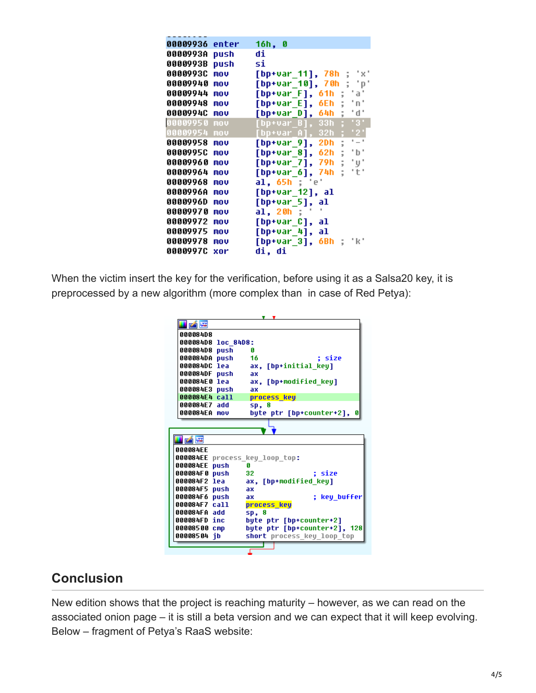| 00009936 | enter | 16h, 0                                     |
|----------|-------|--------------------------------------------|
| 0000993A | push  | di                                         |
| 0000993B | push  | si                                         |
| 0000993C | mov   | *×'<br>[bp+var_11], 78h                    |
| 00009940 | mov   | 'p'<br>[bp+var_10], 70h                    |
| 00009944 | mov   | [bp+var_F], $61h$ ;<br>tat                 |
| 00009948 | mov   | 'n'<br>$[bp+var_E]$ , $6Eh$ ;              |
| 0000994C | mov   | ۰۵'<br>64h<br>[bp+var_D],<br>$\frac{1}{3}$ |
| 00009950 | mov   | 131<br>[bp+var B], 33h<br>÷                |
| 00009954 | mou   | $\cdot$ 2 $\cdot$<br>[bp+var A], 32h<br>п  |
| 00009958 | mov   | $-1$<br>[bp+var_9], 2Dh<br>ţ               |
| 0000995C | mov   | 'b'<br>[bp+var_8], 62h<br>ţ                |
| 00009960 | mov   | it y t<br>ţ.<br>[bp+var_7], 79h            |
| 00009964 | mov   | 't'<br>[bp+var_6], 74h<br>ţ                |
| 00009968 | mov   | <b>al, 65h</b> ; 'e                        |
| 0000996A | mov   | [bp+var_12], al                            |
| 0000996D | mov   | [bp+var 5], al                             |
| 00009970 | mov   | al, 20h ;                                  |
| 00009972 | mov   | [bp+var C],<br>al                          |
| 00009975 | mov   | [bp+var 4],<br>al                          |
| 00009978 | mov   | $[$ bp+var $_3]$ ,<br>'k'<br>6Bh<br>t      |
| 0000997C | xor   | di, di                                     |
|          |       |                                            |

When the victim insert the key for the verification, before using it as a Salsa20 key, it is preprocessed by a new algorithm (more complex than in case of Red Petya):



## **Conclusion**

New edition shows that the project is reaching maturity – however, as we can read on the associated onion page – it is still a beta version and we can expect that it will keep evolving. Below – fragment of Petya's RaaS website: